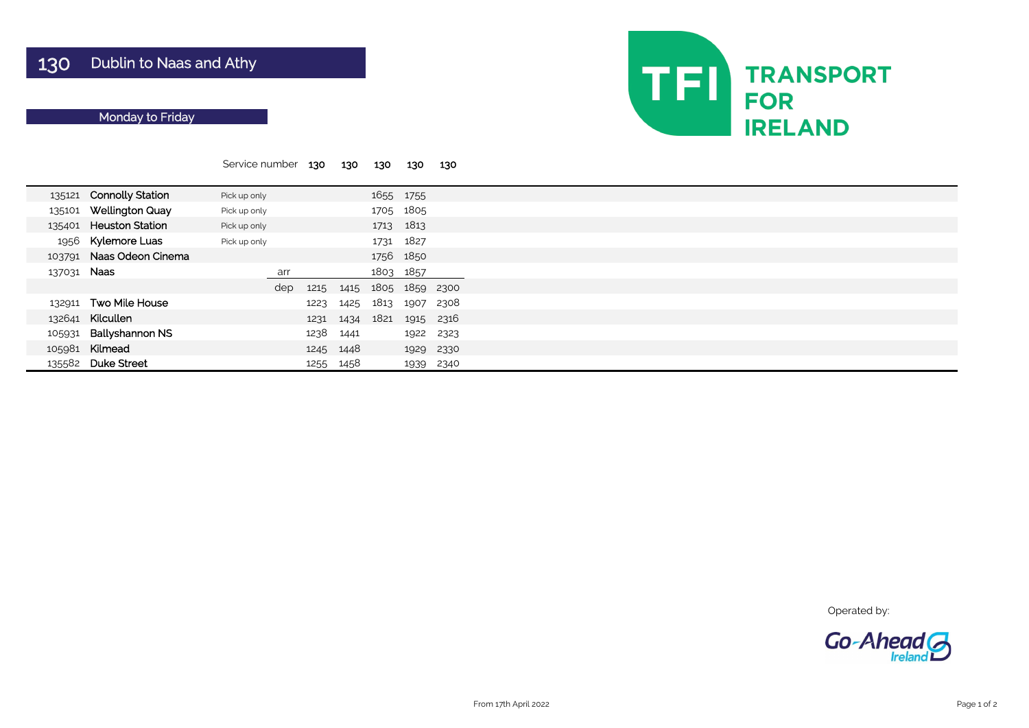|             |                         | Service number |     | 130  | 130       | 130  | 130       | 130  |  |
|-------------|-------------------------|----------------|-----|------|-----------|------|-----------|------|--|
|             |                         |                |     |      |           |      |           |      |  |
| 135121      | <b>Connolly Station</b> | Pick up only   |     |      |           |      | 1655 1755 |      |  |
| 135101      | <b>Wellington Quay</b>  | Pick up only   |     |      |           |      | 1705 1805 |      |  |
| 135401      | <b>Heuston Station</b>  | Pick up only   |     |      |           |      | 1713 1813 |      |  |
| 1956        | <b>Kylemore Luas</b>    | Pick up only   |     |      |           | 1731 | 1827      |      |  |
| 103791      | Naas Odeon Cinema       |                |     |      |           |      | 1756 1850 |      |  |
| 137031 Naas |                         |                | arr |      |           |      | 1803 1857 |      |  |
|             |                         |                | dep | 1215 | 1415      |      | 1805 1859 | 2300 |  |
| 132911      | <b>Two Mile House</b>   |                |     | 1223 | 1425      | 1813 | 1907      | 2308 |  |
| 132641      | Kilcullen               |                |     | 1231 | 1434      | 1821 | 1915      | 2316 |  |
| 105931      | <b>Ballyshannon NS</b>  |                |     | 1238 | 1441      |      | 1922      | 2323 |  |
| 105981      | Kilmead                 |                |     |      | 1245 1448 |      | 1929      | 2330 |  |
| 135582      | <b>Duke Street</b>      |                |     | 1255 | 1458      |      | 1939      | 2340 |  |

Operated by:



# Monday to Friday

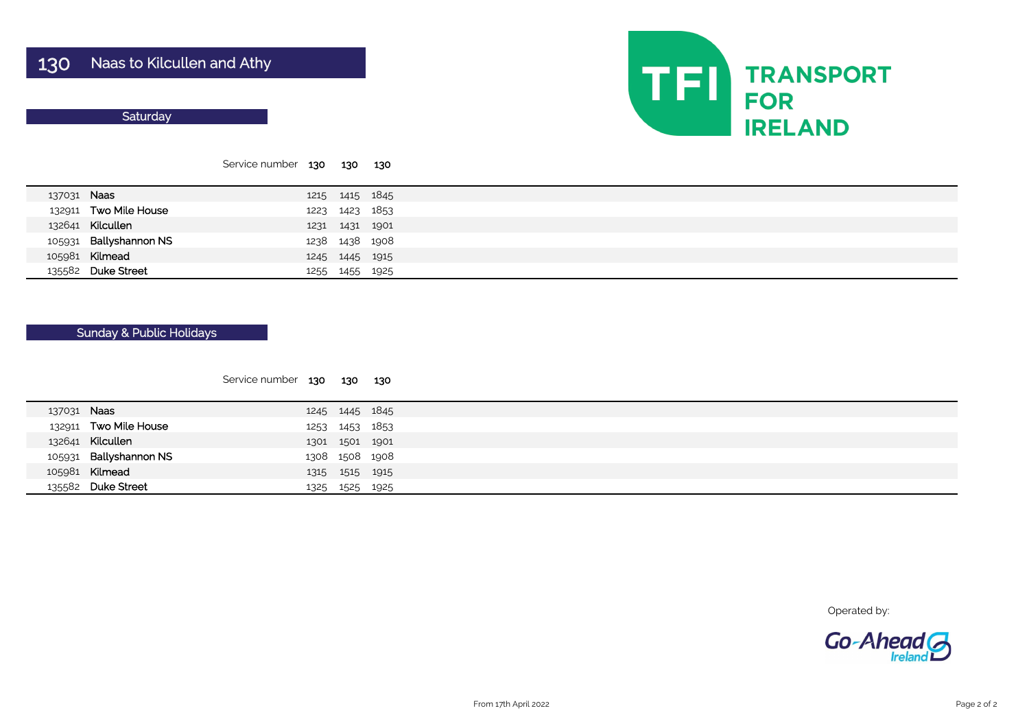#### **Saturday**

|  |             |                        | Service number 130 130 |                | 130 |  |
|--|-------------|------------------------|------------------------|----------------|-----|--|
|  | 137031 Naas |                        |                        | 1215 1415 1845 |     |  |
|  |             | 132911 Two Mile House  |                        | 1223 1423 1853 |     |  |
|  |             | 132641 Kilcullen       |                        | 1231 1431 1901 |     |  |
|  |             | 105931 Ballyshannon NS |                        | 1238 1438 1908 |     |  |
|  |             | 105981 Kilmead         |                        | 1245 1445 1915 |     |  |
|  |             | 135582 Duke Street     |                        | 1255 1455 1925 |     |  |

| 137031 Naas |                        |  | 1245 1445 1845 |
|-------------|------------------------|--|----------------|
|             | 132911 Two Mile House  |  | 1253 1453 1853 |
|             | 132641 Kilcullen       |  | 1301 1501 1901 |
|             | 105931 Ballyshannon NS |  | 1308 1508 1908 |
|             | 105981 Kilmead         |  | 1315 1515 1915 |
|             | 135582 Duke Street     |  | 1325 1525 1925 |



Operated by:



### Sunday & Public Holidays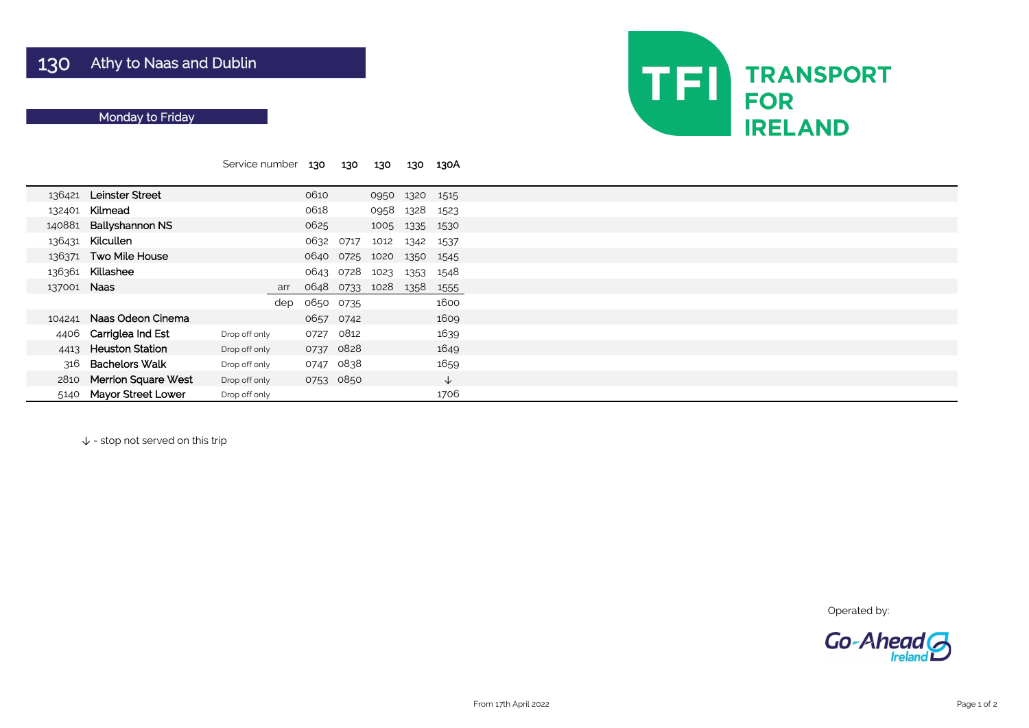|             |                            | Service number |     | 130       | 130       | 130  | 130  | 130A         |
|-------------|----------------------------|----------------|-----|-----------|-----------|------|------|--------------|
| 136421      | <b>Leinster Street</b>     |                |     | 0610      |           | 0950 | 1320 | 1515         |
| 132401      | Kilmead                    |                |     | 0618      |           | 0958 | 1328 | 1523         |
| 140881      | <b>Ballyshannon NS</b>     |                |     | 0625      |           | 1005 | 1335 | 1530         |
| 136431      | Kilcullen                  |                |     | 0632      | 0717      | 1012 | 1342 | 1537         |
| 136371      | <b>Two Mile House</b>      |                |     | 0640      | 0725      | 1020 | 1350 | 1545         |
| 136361      | Killashee                  |                |     | 0643      | 0728      | 1023 | 1353 | 1548         |
| 137001 Naas |                            |                | arr | 0648      | 0733      | 1028 | 1358 | 1555         |
|             |                            |                | dep | 0650 0735 |           |      |      | 1600         |
| 104241      | Naas Odeon Cinema          |                |     | 0657 0742 |           |      |      | 1609         |
| 4406        | Carriglea Ind Est          | Drop off only  |     | 0727      | 0812      |      |      | 1639         |
| 4413        | <b>Heuston Station</b>     | Drop off only  |     | 0737      | 0828      |      |      | 1649         |
| 316         | <b>Bachelors Walk</b>      | Drop off only  |     | 0747 0838 |           |      |      | 1659         |
| 2810        | <b>Merrion Square West</b> | Drop off only  |     |           | 0753 0850 |      |      | $\downarrow$ |
| 5140        | <b>Mayor Street Lower</b>  | Drop off only  |     |           |           |      |      | 1706         |

↓ - stop not served on this trip



Operated by:



# Monday to Friday